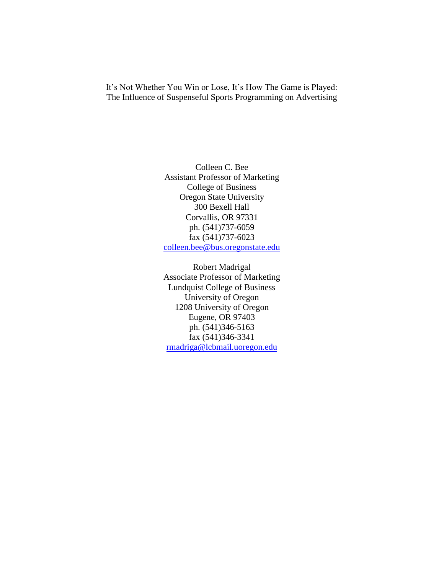It's Not Whether You Win or Lose, It's How The Game is Played: The Influence of Suspenseful Sports Programming on Advertising

> Colleen C. Bee Assistant Professor of Marketing College of Business Oregon State University 300 Bexell Hall Corvallis, OR 97331 ph. (541)737-6059 fax (541)737-6023 [colleen.bee@bus.oregonstate.edu](mailto:colleen.bee@bus.oregonstate.edu)

> Robert Madrigal Associate Professor of Marketing Lundquist College of Business University of Oregon 1208 University of Oregon Eugene, OR 97403 ph. (541)346-5163 fax (541)346-3341 [rmadriga@lcbmail.uoregon.edu](mailto:rmadriga@lcbmail.uoregon.edu)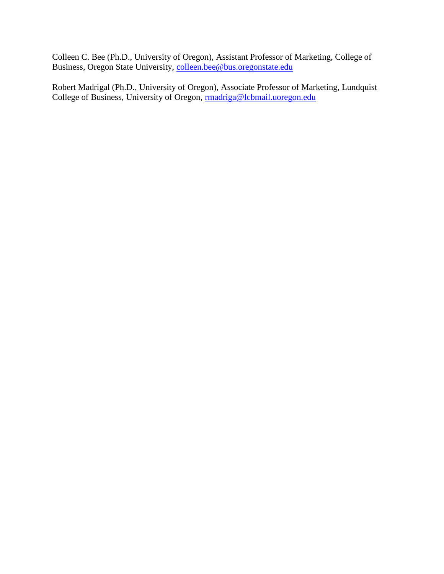Colleen C. Bee (Ph.D., University of Oregon), Assistant Professor of Marketing, College of Business, Oregon State University, [colleen.bee@bus.oregonstate.edu](mailto:colleen.bee@bus.oregonstate.edu)

Robert Madrigal (Ph.D., University of Oregon), Associate Professor of Marketing, Lundquist College of Business, University of Oregon, madriga@lcbmail.uoregon.edu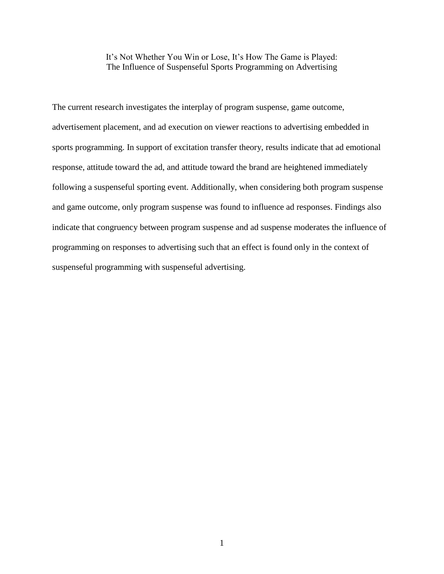It's Not Whether You Win or Lose, It's How The Game is Played: The Influence of Suspenseful Sports Programming on Advertising

The current research investigates the interplay of program suspense, game outcome, advertisement placement, and ad execution on viewer reactions to advertising embedded in sports programming. In support of excitation transfer theory, results indicate that ad emotional response, attitude toward the ad, and attitude toward the brand are heightened immediately following a suspenseful sporting event. Additionally, when considering both program suspense and game outcome, only program suspense was found to influence ad responses. Findings also indicate that congruency between program suspense and ad suspense moderates the influence of programming on responses to advertising such that an effect is found only in the context of suspenseful programming with suspenseful advertising.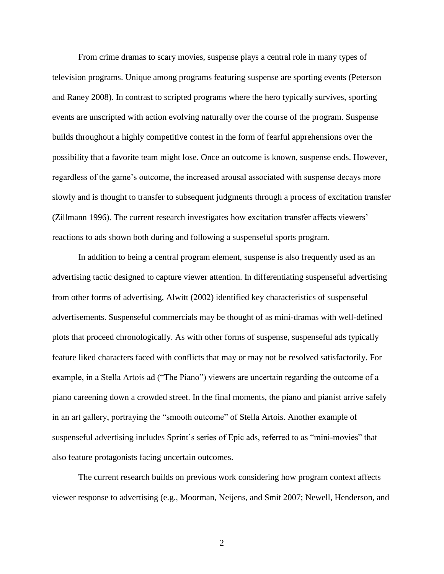From crime dramas to scary movies, suspense plays a central role in many types of television programs. Unique among programs featuring suspense are sporting events (Peterson and Raney 2008). In contrast to scripted programs where the hero typically survives, sporting events are unscripted with action evolving naturally over the course of the program. Suspense builds throughout a highly competitive contest in the form of fearful apprehensions over the possibility that a favorite team might lose. Once an outcome is known, suspense ends. However, regardless of the game"s outcome, the increased arousal associated with suspense decays more slowly and is thought to transfer to subsequent judgments through a process of excitation transfer (Zillmann 1996). The current research investigates how excitation transfer affects viewers" reactions to ads shown both during and following a suspenseful sports program.

In addition to being a central program element, suspense is also frequently used as an advertising tactic designed to capture viewer attention. In differentiating suspenseful advertising from other forms of advertising, Alwitt (2002) identified key characteristics of suspenseful advertisements. Suspenseful commercials may be thought of as mini-dramas with well-defined plots that proceed chronologically. As with other forms of suspense, suspenseful ads typically feature liked characters faced with conflicts that may or may not be resolved satisfactorily. For example, in a Stella Artois ad ("The Piano") viewers are uncertain regarding the outcome of a piano careening down a crowded street. In the final moments, the piano and pianist arrive safely in an art gallery, portraying the "smooth outcome" of Stella Artois. Another example of suspenseful advertising includes Sprint's series of Epic ads, referred to as "mini-movies" that also feature protagonists facing uncertain outcomes.

The current research builds on previous work considering how program context affects viewer response to advertising (e.g., Moorman, Neijens, and Smit 2007; Newell, Henderson, and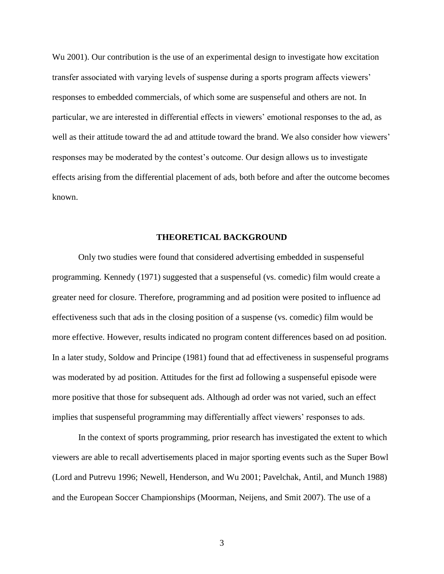Wu 2001). Our contribution is the use of an experimental design to investigate how excitation transfer associated with varying levels of suspense during a sports program affects viewers" responses to embedded commercials, of which some are suspenseful and others are not. In particular, we are interested in differential effects in viewers" emotional responses to the ad, as well as their attitude toward the ad and attitude toward the brand. We also consider how viewers' responses may be moderated by the contest"s outcome. Our design allows us to investigate effects arising from the differential placement of ads, both before and after the outcome becomes known.

# **THEORETICAL BACKGROUND**

Only two studies were found that considered advertising embedded in suspenseful programming. Kennedy (1971) suggested that a suspenseful (vs. comedic) film would create a greater need for closure. Therefore, programming and ad position were posited to influence ad effectiveness such that ads in the closing position of a suspense (vs. comedic) film would be more effective. However, results indicated no program content differences based on ad position. In a later study, Soldow and Principe (1981) found that ad effectiveness in suspenseful programs was moderated by ad position. Attitudes for the first ad following a suspenseful episode were more positive that those for subsequent ads. Although ad order was not varied, such an effect implies that suspenseful programming may differentially affect viewers' responses to ads.

In the context of sports programming, prior research has investigated the extent to which viewers are able to recall advertisements placed in major sporting events such as the Super Bowl (Lord and Putrevu 1996; Newell, Henderson, and Wu 2001; Pavelchak, Antil, and Munch 1988) and the European Soccer Championships (Moorman, Neijens, and Smit 2007). The use of a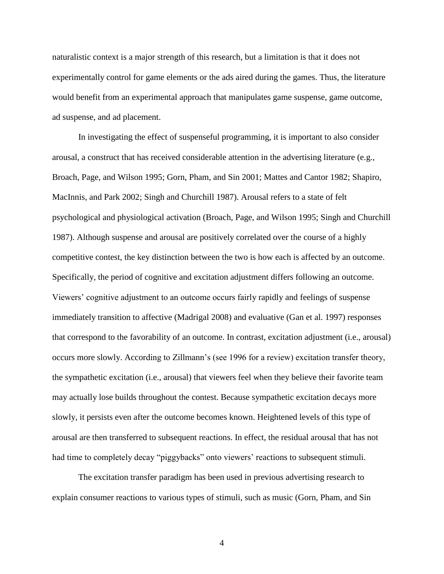naturalistic context is a major strength of this research, but a limitation is that it does not experimentally control for game elements or the ads aired during the games. Thus, the literature would benefit from an experimental approach that manipulates game suspense, game outcome, ad suspense, and ad placement.

In investigating the effect of suspenseful programming, it is important to also consider arousal, a construct that has received considerable attention in the advertising literature (e.g., Broach, Page, and Wilson 1995; Gorn, Pham, and Sin 2001; Mattes and Cantor 1982; Shapiro, MacInnis, and Park 2002; Singh and Churchill 1987). Arousal refers to a state of felt psychological and physiological activation (Broach, Page, and Wilson 1995; Singh and Churchill 1987). Although suspense and arousal are positively correlated over the course of a highly competitive contest, the key distinction between the two is how each is affected by an outcome. Specifically, the period of cognitive and excitation adjustment differs following an outcome. Viewers" cognitive adjustment to an outcome occurs fairly rapidly and feelings of suspense immediately transition to affective (Madrigal 2008) and evaluative (Gan et al. 1997) responses that correspond to the favorability of an outcome. In contrast, excitation adjustment (i.e., arousal) occurs more slowly. According to Zillmann"s (see 1996 for a review) excitation transfer theory, the sympathetic excitation (i.e., arousal) that viewers feel when they believe their favorite team may actually lose builds throughout the contest. Because sympathetic excitation decays more slowly, it persists even after the outcome becomes known. Heightened levels of this type of arousal are then transferred to subsequent reactions. In effect, the residual arousal that has not had time to completely decay "piggybacks" onto viewers' reactions to subsequent stimuli.

The excitation transfer paradigm has been used in previous advertising research to explain consumer reactions to various types of stimuli, such as music (Gorn, Pham, and Sin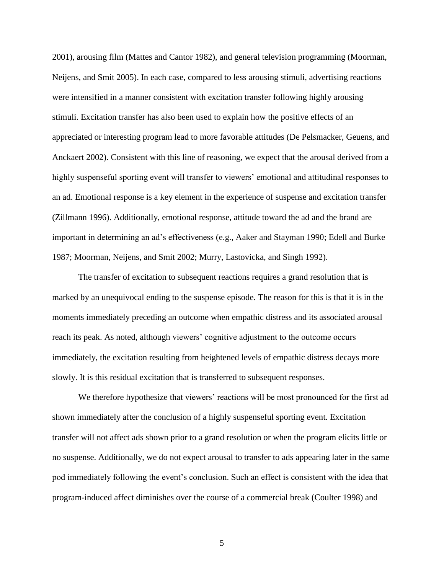2001), arousing film (Mattes and Cantor 1982), and general television programming (Moorman, Neijens, and Smit 2005). In each case, compared to less arousing stimuli, advertising reactions were intensified in a manner consistent with excitation transfer following highly arousing stimuli. Excitation transfer has also been used to explain how the positive effects of an appreciated or interesting program lead to more favorable attitudes (De Pelsmacker, Geuens, and Anckaert 2002). Consistent with this line of reasoning, we expect that the arousal derived from a highly suspenseful sporting event will transfer to viewers' emotional and attitudinal responses to an ad. Emotional response is a key element in the experience of suspense and excitation transfer (Zillmann 1996). Additionally, emotional response, attitude toward the ad and the brand are important in determining an ad"s effectiveness (e.g., Aaker and Stayman 1990; Edell and Burke 1987; Moorman, Neijens, and Smit 2002; Murry, Lastovicka, and Singh 1992).

The transfer of excitation to subsequent reactions requires a grand resolution that is marked by an unequivocal ending to the suspense episode. The reason for this is that it is in the moments immediately preceding an outcome when empathic distress and its associated arousal reach its peak. As noted, although viewers' cognitive adjustment to the outcome occurs immediately, the excitation resulting from heightened levels of empathic distress decays more slowly. It is this residual excitation that is transferred to subsequent responses.

We therefore hypothesize that viewers' reactions will be most pronounced for the first ad shown immediately after the conclusion of a highly suspenseful sporting event. Excitation transfer will not affect ads shown prior to a grand resolution or when the program elicits little or no suspense. Additionally, we do not expect arousal to transfer to ads appearing later in the same pod immediately following the event"s conclusion. Such an effect is consistent with the idea that program-induced affect diminishes over the course of a commercial break (Coulter 1998) and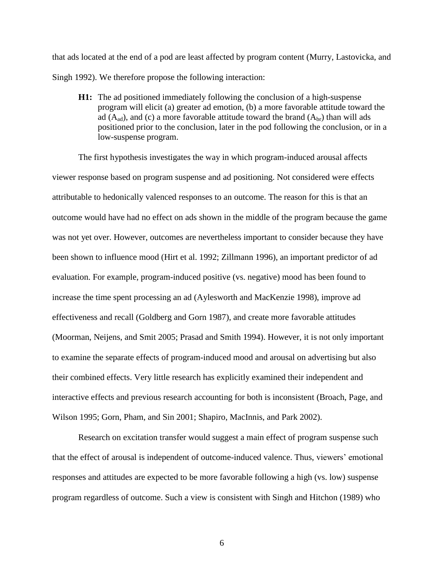that ads located at the end of a pod are least affected by program content (Murry, Lastovicka, and Singh 1992). We therefore propose the following interaction:

**H1:** The ad positioned immediately following the conclusion of a high-suspense program will elicit (a) greater ad emotion, (b) a more favorable attitude toward the ad  $(A_{ad})$ , and (c) a more favorable attitude toward the brand  $(A_{br})$  than will ads positioned prior to the conclusion, later in the pod following the conclusion, or in a low-suspense program.

The first hypothesis investigates the way in which program-induced arousal affects viewer response based on program suspense and ad positioning. Not considered were effects attributable to hedonically valenced responses to an outcome. The reason for this is that an outcome would have had no effect on ads shown in the middle of the program because the game was not yet over. However, outcomes are nevertheless important to consider because they have been shown to influence mood (Hirt et al. 1992; Zillmann 1996), an important predictor of ad evaluation. For example, program-induced positive (vs. negative) mood has been found to increase the time spent processing an ad (Aylesworth and MacKenzie 1998), improve ad effectiveness and recall (Goldberg and Gorn 1987), and create more favorable attitudes (Moorman, Neijens, and Smit 2005; Prasad and Smith 1994). However, it is not only important to examine the separate effects of program-induced mood and arousal on advertising but also their combined effects. Very little research has explicitly examined their independent and interactive effects and previous research accounting for both is inconsistent (Broach, Page, and Wilson 1995; Gorn, Pham, and Sin 2001; Shapiro, MacInnis, and Park 2002).

Research on excitation transfer would suggest a main effect of program suspense such that the effect of arousal is independent of outcome-induced valence. Thus, viewers" emotional responses and attitudes are expected to be more favorable following a high (vs. low) suspense program regardless of outcome. Such a view is consistent with Singh and Hitchon (1989) who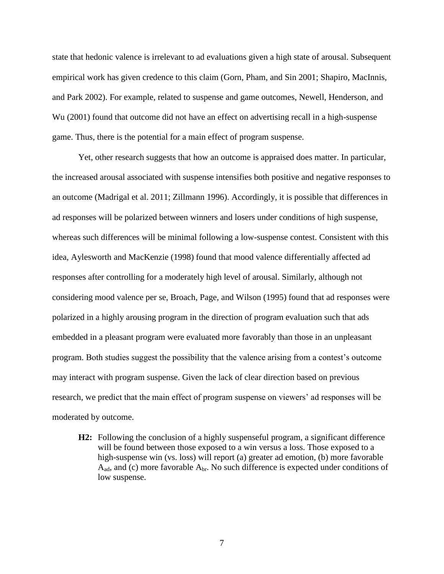state that hedonic valence is irrelevant to ad evaluations given a high state of arousal. Subsequent empirical work has given credence to this claim (Gorn, Pham, and Sin 2001; Shapiro, MacInnis, and Park 2002). For example, related to suspense and game outcomes, Newell, Henderson, and Wu (2001) found that outcome did not have an effect on advertising recall in a high-suspense game. Thus, there is the potential for a main effect of program suspense.

Yet, other research suggests that how an outcome is appraised does matter. In particular, the increased arousal associated with suspense intensifies both positive and negative responses to an outcome (Madrigal et al. 2011; Zillmann 1996). Accordingly, it is possible that differences in ad responses will be polarized between winners and losers under conditions of high suspense, whereas such differences will be minimal following a low-suspense contest. Consistent with this idea, Aylesworth and MacKenzie (1998) found that mood valence differentially affected ad responses after controlling for a moderately high level of arousal. Similarly, although not considering mood valence per se, Broach, Page, and Wilson (1995) found that ad responses were polarized in a highly arousing program in the direction of program evaluation such that ads embedded in a pleasant program were evaluated more favorably than those in an unpleasant program. Both studies suggest the possibility that the valence arising from a contest"s outcome may interact with program suspense. Given the lack of clear direction based on previous research, we predict that the main effect of program suspense on viewers' ad responses will be moderated by outcome.

**H2:** Following the conclusion of a highly suspenseful program, a significant difference will be found between those exposed to a win versus a loss. Those exposed to a high-suspense win (vs. loss) will report (a) greater ad emotion, (b) more favorable  $A_{\text{ad}}$ , and (c) more favorable  $A_{\text{br}}$ . No such difference is expected under conditions of low suspense.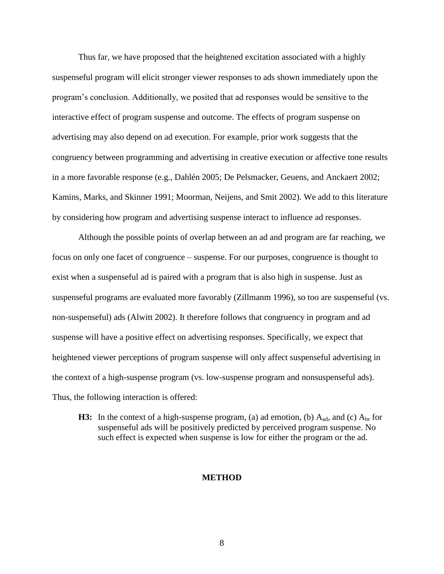Thus far, we have proposed that the heightened excitation associated with a highly suspenseful program will elicit stronger viewer responses to ads shown immediately upon the program"s conclusion. Additionally, we posited that ad responses would be sensitive to the interactive effect of program suspense and outcome. The effects of program suspense on advertising may also depend on ad execution. For example, prior work suggests that the congruency between programming and advertising in creative execution or affective tone results in a more favorable response (e.g., Dahlén 2005; De Pelsmacker, Geuens, and Anckaert 2002; Kamins, Marks, and Skinner 1991; Moorman, Neijens, and Smit 2002). We add to this literature by considering how program and advertising suspense interact to influence ad responses.

Although the possible points of overlap between an ad and program are far reaching, we focus on only one facet of congruence – suspense. For our purposes, congruence is thought to exist when a suspenseful ad is paired with a program that is also high in suspense. Just as suspenseful programs are evaluated more favorably (Zillmanm 1996), so too are suspenseful (vs. non-suspenseful) ads (Alwitt 2002). It therefore follows that congruency in program and ad suspense will have a positive effect on advertising responses. Specifically, we expect that heightened viewer perceptions of program suspense will only affect suspenseful advertising in the context of a high-suspense program (vs. low-suspense program and nonsuspenseful ads). Thus, the following interaction is offered:

**H3:** In the context of a high-suspense program, (a) ad emotion, (b)  $A_{ad}$ , and (c)  $A_{br}$  for suspenseful ads will be positively predicted by perceived program suspense. No such effect is expected when suspense is low for either the program or the ad.

#### **METHOD**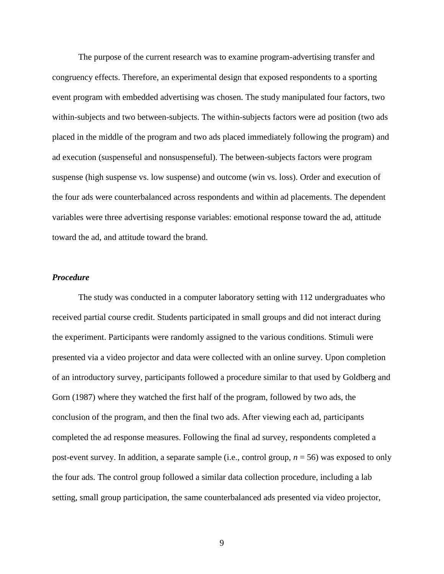The purpose of the current research was to examine program-advertising transfer and congruency effects. Therefore, an experimental design that exposed respondents to a sporting event program with embedded advertising was chosen. The study manipulated four factors, two within-subjects and two between-subjects. The within-subjects factors were ad position (two ads placed in the middle of the program and two ads placed immediately following the program) and ad execution (suspenseful and nonsuspenseful). The between-subjects factors were program suspense (high suspense vs. low suspense) and outcome (win vs. loss). Order and execution of the four ads were counterbalanced across respondents and within ad placements. The dependent variables were three advertising response variables: emotional response toward the ad, attitude toward the ad, and attitude toward the brand.

# *Procedure*

The study was conducted in a computer laboratory setting with 112 undergraduates who received partial course credit. Students participated in small groups and did not interact during the experiment. Participants were randomly assigned to the various conditions. Stimuli were presented via a video projector and data were collected with an online survey. Upon completion of an introductory survey, participants followed a procedure similar to that used by Goldberg and Gorn (1987) where they watched the first half of the program, followed by two ads, the conclusion of the program, and then the final two ads. After viewing each ad, participants completed the ad response measures. Following the final ad survey, respondents completed a post-event survey. In addition, a separate sample (i.e., control group, *n* = 56) was exposed to only the four ads. The control group followed a similar data collection procedure, including a lab setting, small group participation, the same counterbalanced ads presented via video projector,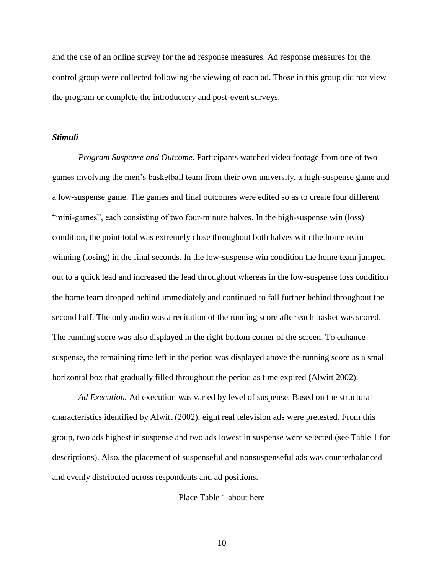and the use of an online survey for the ad response measures. Ad response measures for the control group were collected following the viewing of each ad. Those in this group did not view the program or complete the introductory and post-event surveys.

#### *Stimuli*

*Program Suspense and Outcome.* Participants watched video footage from one of two games involving the men"s basketball team from their own university, a high-suspense game and a low-suspense game. The games and final outcomes were edited so as to create four different "mini-games", each consisting of two four-minute halves. In the high-suspense win (loss) condition, the point total was extremely close throughout both halves with the home team winning (losing) in the final seconds. In the low-suspense win condition the home team jumped out to a quick lead and increased the lead throughout whereas in the low-suspense loss condition the home team dropped behind immediately and continued to fall further behind throughout the second half. The only audio was a recitation of the running score after each basket was scored. The running score was also displayed in the right bottom corner of the screen. To enhance suspense, the remaining time left in the period was displayed above the running score as a small horizontal box that gradually filled throughout the period as time expired (Alwitt 2002).

*Ad Execution.* Ad execution was varied by level of suspense. Based on the structural characteristics identified by Alwitt (2002), eight real television ads were pretested. From this group, two ads highest in suspense and two ads lowest in suspense were selected (see Table 1 for descriptions). Also, the placement of suspenseful and nonsuspenseful ads was counterbalanced and evenly distributed across respondents and ad positions.

Place Table 1 about here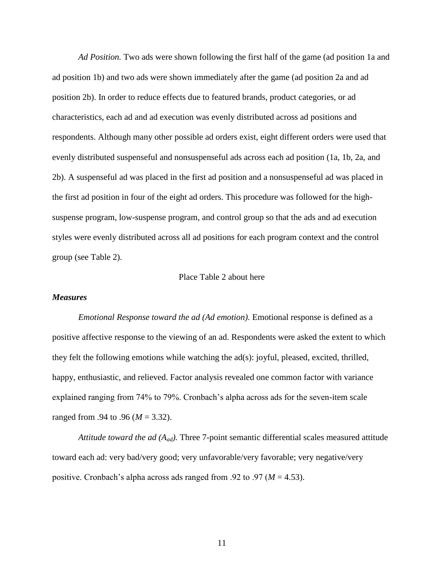*Ad Position.* Two ads were shown following the first half of the game (ad position 1a and ad position 1b) and two ads were shown immediately after the game (ad position 2a and ad position 2b). In order to reduce effects due to featured brands, product categories, or ad characteristics, each ad and ad execution was evenly distributed across ad positions and respondents. Although many other possible ad orders exist, eight different orders were used that evenly distributed suspenseful and nonsuspenseful ads across each ad position (1a, 1b, 2a, and 2b). A suspenseful ad was placed in the first ad position and a nonsuspenseful ad was placed in the first ad position in four of the eight ad orders. This procedure was followed for the highsuspense program, low-suspense program, and control group so that the ads and ad execution styles were evenly distributed across all ad positions for each program context and the control group (see Table 2).

#### Place Table 2 about here

#### *Measures*

*Emotional Response toward the ad (Ad emotion).* Emotional response is defined as a positive affective response to the viewing of an ad. Respondents were asked the extent to which they felt the following emotions while watching the ad(s): joyful, pleased, excited, thrilled, happy, enthusiastic, and relieved. Factor analysis revealed one common factor with variance explained ranging from 74% to 79%. Cronbach's alpha across ads for the seven-item scale ranged from .94 to .96 (*M* = 3.32).

*Attitude toward the ad (Aad).* Three 7-point semantic differential scales measured attitude toward each ad: very bad/very good; very unfavorable/very favorable; very negative/very positive. Cronbach's alpha across ads ranged from .92 to .97 ( $M = 4.53$ ).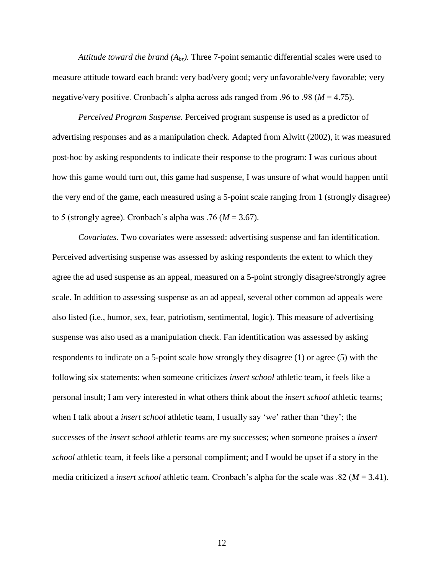*Attitude toward the brand*  $(A_{br})$ . Three 7-point semantic differential scales were used to measure attitude toward each brand: very bad/very good; very unfavorable/very favorable; very negative/very positive. Cronbach's alpha across ads ranged from .96 to .98 ( $M = 4.75$ ).

*Perceived Program Suspense.* Perceived program suspense is used as a predictor of advertising responses and as a manipulation check. Adapted from Alwitt (2002), it was measured post-hoc by asking respondents to indicate their response to the program: I was curious about how this game would turn out, this game had suspense, I was unsure of what would happen until the very end of the game, each measured using a 5-point scale ranging from 1 (strongly disagree) to 5 (strongly agree). Cronbach's alpha was .76 ( $M = 3.67$ ).

*Covariates.* Two covariates were assessed: advertising suspense and fan identification. Perceived advertising suspense was assessed by asking respondents the extent to which they agree the ad used suspense as an appeal, measured on a 5-point strongly disagree/strongly agree scale. In addition to assessing suspense as an ad appeal, several other common ad appeals were also listed (i.e., humor, sex, fear, patriotism, sentimental, logic). This measure of advertising suspense was also used as a manipulation check. Fan identification was assessed by asking respondents to indicate on a 5-point scale how strongly they disagree (1) or agree (5) with the following six statements: when someone criticizes *insert school* athletic team, it feels like a personal insult; I am very interested in what others think about the *insert school* athletic teams; when I talk about a *insert school* athletic team, I usually say 'we' rather than 'they'; the successes of the *insert school* athletic teams are my successes; when someone praises a *insert school* athletic team, it feels like a personal compliment; and I would be upset if a story in the media criticized a *insert school* athletic team. Cronbach"s alpha for the scale was .82 (*M* = 3.41).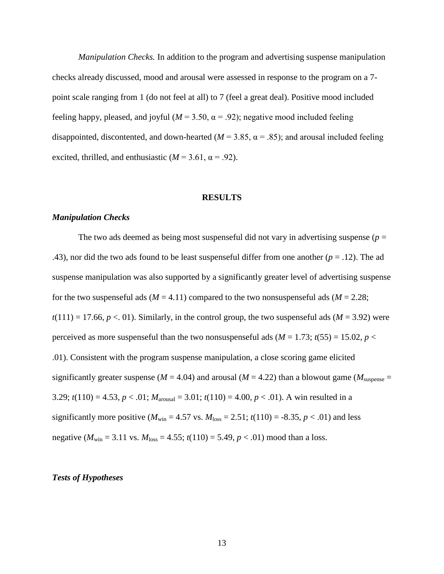*Manipulation Checks.* In addition to the program and advertising suspense manipulation checks already discussed, mood and arousal were assessed in response to the program on a 7 point scale ranging from 1 (do not feel at all) to 7 (feel a great deal). Positive mood included feeling happy, pleased, and joyful ( $M = 3.50$ ,  $\alpha = .92$ ); negative mood included feeling disappointed, discontented, and down-hearted ( $M = 3.85$ ,  $\alpha = .85$ ); and arousal included feeling excited, thrilled, and enthusiastic ( $M = 3.61$ ,  $\alpha = .92$ ).

#### **RESULTS**

#### *Manipulation Checks*

The two ads deemed as being most suspenseful did not vary in advertising suspense ( $p =$ .43), nor did the two ads found to be least suspenseful differ from one another  $(p = .12)$ . The ad suspense manipulation was also supported by a significantly greater level of advertising suspense for the two suspenseful ads ( $M = 4.11$ ) compared to the two nonsuspenseful ads ( $M = 2.28$ ;  $t(111) = 17.66$ ,  $p < 01$ ). Similarly, in the control group, the two suspenseful ads ( $M = 3.92$ ) were perceived as more suspenseful than the two nonsuspenseful ads ( $M = 1.73$ ;  $t(55) = 15.02$ ,  $p <$ .01). Consistent with the program suspense manipulation, a close scoring game elicited significantly greater suspense ( $M = 4.04$ ) and arousal ( $M = 4.22$ ) than a blowout game ( $M<sub>subense</sub> =$ 3.29;  $t(110) = 4.53$ ,  $p < .01$ ;  $M_{\text{arousal}} = 3.01$ ;  $t(110) = 4.00$ ,  $p < .01$ ). A win resulted in a significantly more positive ( $M_{\text{win}} = 4.57$  vs.  $M_{\text{loss}} = 2.51$ ;  $t(110) = -8.35$ ,  $p < .01$ ) and less negative ( $M_{\text{win}} = 3.11$  vs.  $M_{\text{loss}} = 4.55$ ;  $t(110) = 5.49$ ,  $p < .01$ ) mood than a loss.

#### *Tests of Hypotheses*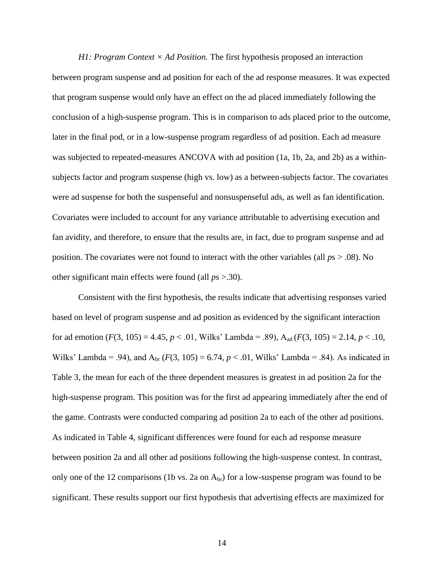*H1: Program Context × Ad Position.* The first hypothesis proposed an interaction between program suspense and ad position for each of the ad response measures. It was expected that program suspense would only have an effect on the ad placed immediately following the conclusion of a high-suspense program. This is in comparison to ads placed prior to the outcome, later in the final pod, or in a low-suspense program regardless of ad position. Each ad measure was subjected to repeated-measures ANCOVA with ad position (1a, 1b, 2a, and 2b) as a withinsubjects factor and program suspense (high vs. low) as a between-subjects factor. The covariates were ad suspense for both the suspenseful and nonsuspenseful ads, as well as fan identification. Covariates were included to account for any variance attributable to advertising execution and fan avidity, and therefore, to ensure that the results are, in fact, due to program suspense and ad position. The covariates were not found to interact with the other variables (all *p*s > .08). No other significant main effects were found (all *p*s >.30).

Consistent with the first hypothesis, the results indicate that advertising responses varied based on level of program suspense and ad position as evidenced by the significant interaction for ad emotion  $(F(3, 105) = 4.45, p < .01,$  Wilks' Lambda = .89),  $A_{ad}(F(3, 105) = 2.14, p < .10,$ Wilks' Lambda = .94), and  $A_{\text{br}}$  (*F*(3, 105) = 6.74, *p* < .01, Wilks' Lambda = .84). As indicated in Table 3, the mean for each of the three dependent measures is greatest in ad position 2a for the high-suspense program. This position was for the first ad appearing immediately after the end of the game. Contrasts were conducted comparing ad position 2a to each of the other ad positions. As indicated in Table 4, significant differences were found for each ad response measure between position 2a and all other ad positions following the high-suspense contest. In contrast, only one of the 12 comparisons (1b vs. 2a on  $A_{\rm br}$ ) for a low-suspense program was found to be significant. These results support our first hypothesis that advertising effects are maximized for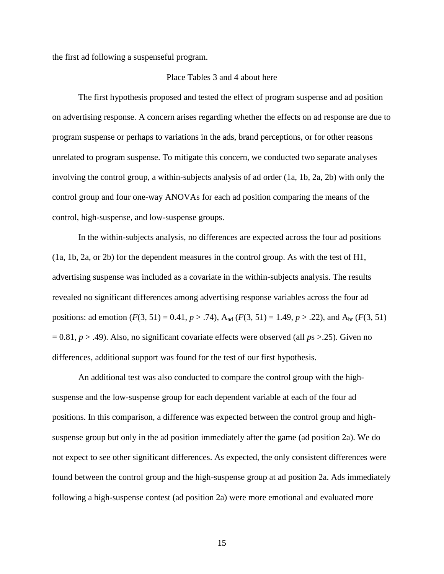the first ad following a suspenseful program.

# Place Tables 3 and 4 about here

The first hypothesis proposed and tested the effect of program suspense and ad position on advertising response. A concern arises regarding whether the effects on ad response are due to program suspense or perhaps to variations in the ads, brand perceptions, or for other reasons unrelated to program suspense. To mitigate this concern, we conducted two separate analyses involving the control group, a within-subjects analysis of ad order (1a, 1b, 2a, 2b) with only the control group and four one-way ANOVAs for each ad position comparing the means of the control, high-suspense, and low-suspense groups.

In the within-subjects analysis, no differences are expected across the four ad positions (1a, 1b, 2a, or 2b) for the dependent measures in the control group. As with the test of H1, advertising suspense was included as a covariate in the within-subjects analysis. The results revealed no significant differences among advertising response variables across the four ad positions: ad emotion  $(F(3, 51) = 0.41, p > .74)$ , A<sub>ad</sub>  $(F(3, 51) = 1.49, p > .22)$ , and A<sub>br</sub>  $(F(3, 51)$ = 0.81, *p* > .49). Also, no significant covariate effects were observed (all *p*s >.25). Given no differences, additional support was found for the test of our first hypothesis.

An additional test was also conducted to compare the control group with the highsuspense and the low-suspense group for each dependent variable at each of the four ad positions. In this comparison, a difference was expected between the control group and highsuspense group but only in the ad position immediately after the game (ad position 2a). We do not expect to see other significant differences. As expected, the only consistent differences were found between the control group and the high-suspense group at ad position 2a. Ads immediately following a high-suspense contest (ad position 2a) were more emotional and evaluated more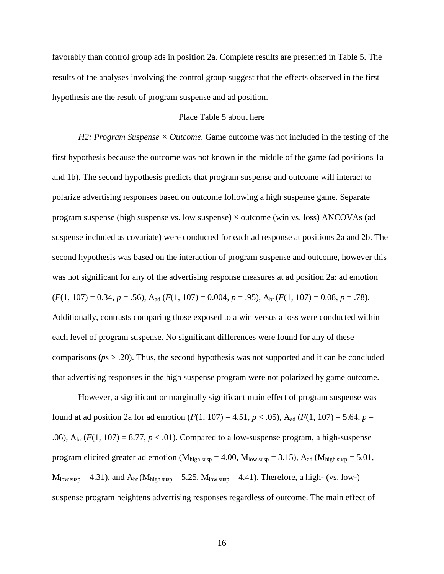favorably than control group ads in position 2a. Complete results are presented in Table 5. The results of the analyses involving the control group suggest that the effects observed in the first hypothesis are the result of program suspense and ad position.

# Place Table 5 about here

*H2: Program Suspense × Outcome.* Game outcome was not included in the testing of the first hypothesis because the outcome was not known in the middle of the game (ad positions 1a and 1b). The second hypothesis predicts that program suspense and outcome will interact to polarize advertising responses based on outcome following a high suspense game. Separate program suspense (high suspense vs. low suspense)  $\times$  outcome (win vs. loss) ANCOVAs (ad suspense included as covariate) were conducted for each ad response at positions 2a and 2b. The second hypothesis was based on the interaction of program suspense and outcome, however this was not significant for any of the advertising response measures at ad position 2a: ad emotion  $(F(1, 107) = 0.34, p = .56)$ , A<sub>ad</sub>  $(F(1, 107) = 0.004, p = .95)$ , A<sub>br</sub>  $(F(1, 107) = 0.08, p = .78)$ . Additionally, contrasts comparing those exposed to a win versus a loss were conducted within each level of program suspense. No significant differences were found for any of these comparisons (*p*s > .20). Thus, the second hypothesis was not supported and it can be concluded that advertising responses in the high suspense program were not polarized by game outcome.

However, a significant or marginally significant main effect of program suspense was found at ad position 2a for ad emotion  $(F(1, 107) = 4.51, p < .05)$ , A<sub>ad</sub>  $(F(1, 107) = 5.64, p = .05)$ .06),  $A_{\text{br}}(F(1, 107) = 8.77, p < .01)$ . Compared to a low-suspense program, a high-suspense program elicited greater ad emotion ( $M_{high\,\text{susp}} = 4.00$ ,  $M_{low\,\text{susp}} = 3.15$ ),  $A_{ad}$  ( $M_{high\,\text{susp}} = 5.01$ ,  $M_{\text{low susp}} = 4.31$ ), and  $A_{\text{br}}(M_{\text{high susp}} = 5.25, M_{\text{low susp}} = 4.41)$ . Therefore, a high- (vs. low-) suspense program heightens advertising responses regardless of outcome. The main effect of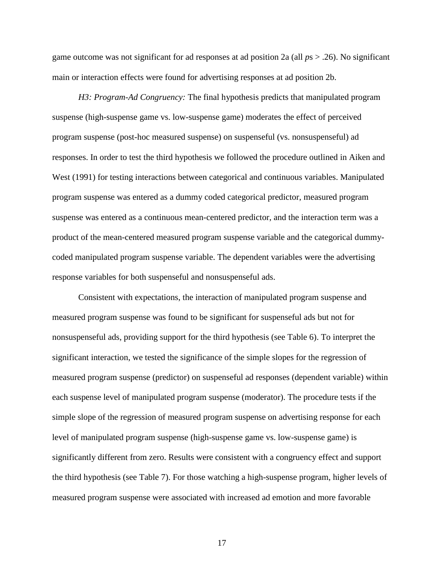game outcome was not significant for ad responses at ad position 2a (all *p*s > .26). No significant main or interaction effects were found for advertising responses at ad position 2b.

*H3: Program-Ad Congruency:* The final hypothesis predicts that manipulated program suspense (high-suspense game vs. low-suspense game) moderates the effect of perceived program suspense (post-hoc measured suspense) on suspenseful (vs. nonsuspenseful) ad responses. In order to test the third hypothesis we followed the procedure outlined in Aiken and West (1991) for testing interactions between categorical and continuous variables. Manipulated program suspense was entered as a dummy coded categorical predictor, measured program suspense was entered as a continuous mean-centered predictor, and the interaction term was a product of the mean-centered measured program suspense variable and the categorical dummycoded manipulated program suspense variable. The dependent variables were the advertising response variables for both suspenseful and nonsuspenseful ads.

Consistent with expectations, the interaction of manipulated program suspense and measured program suspense was found to be significant for suspenseful ads but not for nonsuspenseful ads, providing support for the third hypothesis (see Table 6). To interpret the significant interaction, we tested the significance of the simple slopes for the regression of measured program suspense (predictor) on suspenseful ad responses (dependent variable) within each suspense level of manipulated program suspense (moderator). The procedure tests if the simple slope of the regression of measured program suspense on advertising response for each level of manipulated program suspense (high-suspense game vs. low-suspense game) is significantly different from zero. Results were consistent with a congruency effect and support the third hypothesis (see Table 7). For those watching a high-suspense program, higher levels of measured program suspense were associated with increased ad emotion and more favorable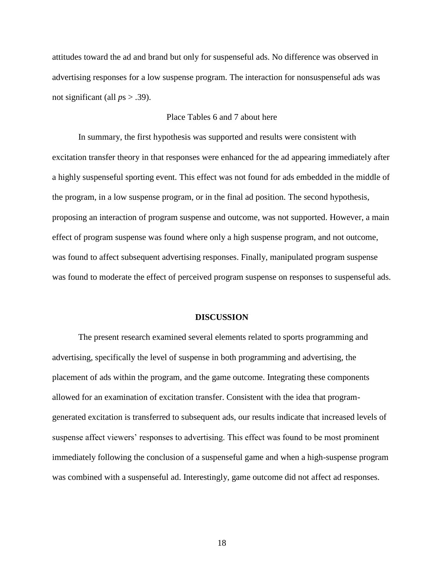attitudes toward the ad and brand but only for suspenseful ads. No difference was observed in advertising responses for a low suspense program. The interaction for nonsuspenseful ads was not significant (all *p*s > .39).

# Place Tables 6 and 7 about here

In summary, the first hypothesis was supported and results were consistent with excitation transfer theory in that responses were enhanced for the ad appearing immediately after a highly suspenseful sporting event. This effect was not found for ads embedded in the middle of the program, in a low suspense program, or in the final ad position. The second hypothesis, proposing an interaction of program suspense and outcome, was not supported. However, a main effect of program suspense was found where only a high suspense program, and not outcome, was found to affect subsequent advertising responses. Finally, manipulated program suspense was found to moderate the effect of perceived program suspense on responses to suspenseful ads.

#### **DISCUSSION**

The present research examined several elements related to sports programming and advertising, specifically the level of suspense in both programming and advertising, the placement of ads within the program, and the game outcome. Integrating these components allowed for an examination of excitation transfer. Consistent with the idea that programgenerated excitation is transferred to subsequent ads, our results indicate that increased levels of suspense affect viewers' responses to advertising. This effect was found to be most prominent immediately following the conclusion of a suspenseful game and when a high-suspense program was combined with a suspenseful ad. Interestingly, game outcome did not affect ad responses.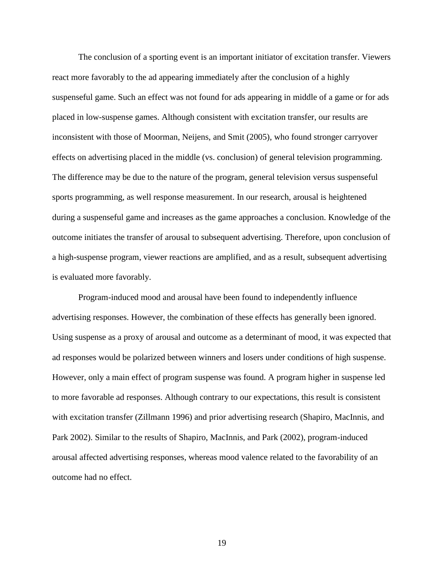The conclusion of a sporting event is an important initiator of excitation transfer. Viewers react more favorably to the ad appearing immediately after the conclusion of a highly suspenseful game. Such an effect was not found for ads appearing in middle of a game or for ads placed in low-suspense games. Although consistent with excitation transfer, our results are inconsistent with those of Moorman, Neijens, and Smit (2005), who found stronger carryover effects on advertising placed in the middle (vs. conclusion) of general television programming. The difference may be due to the nature of the program, general television versus suspenseful sports programming, as well response measurement. In our research, arousal is heightened during a suspenseful game and increases as the game approaches a conclusion. Knowledge of the outcome initiates the transfer of arousal to subsequent advertising. Therefore, upon conclusion of a high-suspense program, viewer reactions are amplified, and as a result, subsequent advertising is evaluated more favorably.

Program-induced mood and arousal have been found to independently influence advertising responses. However, the combination of these effects has generally been ignored. Using suspense as a proxy of arousal and outcome as a determinant of mood, it was expected that ad responses would be polarized between winners and losers under conditions of high suspense. However, only a main effect of program suspense was found. A program higher in suspense led to more favorable ad responses. Although contrary to our expectations, this result is consistent with excitation transfer (Zillmann 1996) and prior advertising research (Shapiro, MacInnis, and Park 2002). Similar to the results of Shapiro, MacInnis, and Park (2002), program-induced arousal affected advertising responses, whereas mood valence related to the favorability of an outcome had no effect.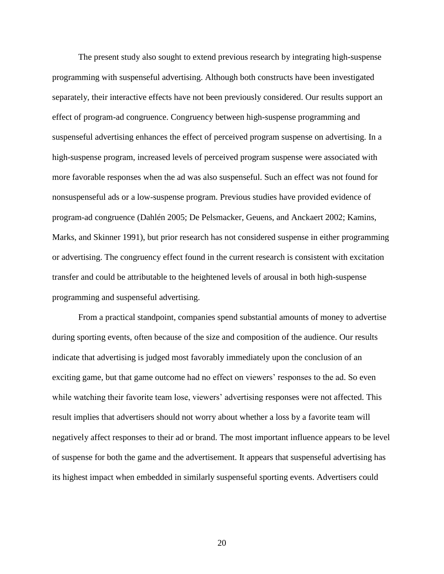The present study also sought to extend previous research by integrating high-suspense programming with suspenseful advertising. Although both constructs have been investigated separately, their interactive effects have not been previously considered. Our results support an effect of program-ad congruence. Congruency between high-suspense programming and suspenseful advertising enhances the effect of perceived program suspense on advertising. In a high-suspense program, increased levels of perceived program suspense were associated with more favorable responses when the ad was also suspenseful. Such an effect was not found for nonsuspenseful ads or a low-suspense program. Previous studies have provided evidence of program-ad congruence (Dahlén 2005; De Pelsmacker, Geuens, and Anckaert 2002; Kamins, Marks, and Skinner 1991), but prior research has not considered suspense in either programming or advertising. The congruency effect found in the current research is consistent with excitation transfer and could be attributable to the heightened levels of arousal in both high-suspense programming and suspenseful advertising.

From a practical standpoint, companies spend substantial amounts of money to advertise during sporting events, often because of the size and composition of the audience. Our results indicate that advertising is judged most favorably immediately upon the conclusion of an exciting game, but that game outcome had no effect on viewers" responses to the ad. So even while watching their favorite team lose, viewers' advertising responses were not affected. This result implies that advertisers should not worry about whether a loss by a favorite team will negatively affect responses to their ad or brand. The most important influence appears to be level of suspense for both the game and the advertisement. It appears that suspenseful advertising has its highest impact when embedded in similarly suspenseful sporting events. Advertisers could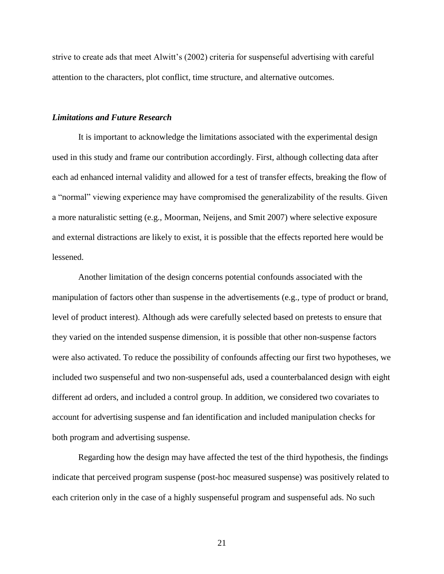strive to create ads that meet Alwitt"s (2002) criteria for suspenseful advertising with careful attention to the characters, plot conflict, time structure, and alternative outcomes.

### *Limitations and Future Research*

It is important to acknowledge the limitations associated with the experimental design used in this study and frame our contribution accordingly. First, although collecting data after each ad enhanced internal validity and allowed for a test of transfer effects, breaking the flow of a "normal" viewing experience may have compromised the generalizability of the results. Given a more naturalistic setting (e.g., Moorman, Neijens, and Smit 2007) where selective exposure and external distractions are likely to exist, it is possible that the effects reported here would be lessened.

Another limitation of the design concerns potential confounds associated with the manipulation of factors other than suspense in the advertisements (e.g., type of product or brand, level of product interest). Although ads were carefully selected based on pretests to ensure that they varied on the intended suspense dimension, it is possible that other non-suspense factors were also activated. To reduce the possibility of confounds affecting our first two hypotheses, we included two suspenseful and two non-suspenseful ads, used a counterbalanced design with eight different ad orders, and included a control group. In addition, we considered two covariates to account for advertising suspense and fan identification and included manipulation checks for both program and advertising suspense.

Regarding how the design may have affected the test of the third hypothesis, the findings indicate that perceived program suspense (post-hoc measured suspense) was positively related to each criterion only in the case of a highly suspenseful program and suspenseful ads. No such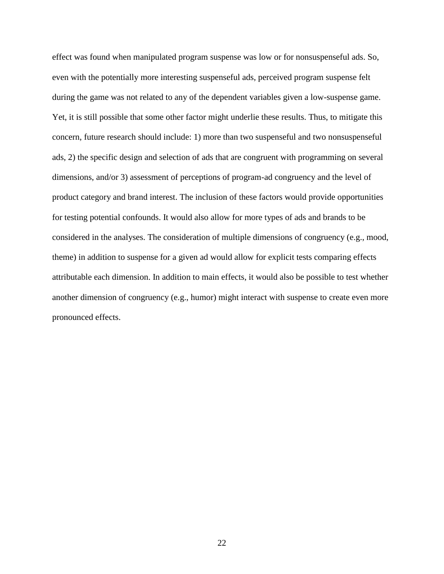effect was found when manipulated program suspense was low or for nonsuspenseful ads. So, even with the potentially more interesting suspenseful ads, perceived program suspense felt during the game was not related to any of the dependent variables given a low-suspense game. Yet, it is still possible that some other factor might underlie these results. Thus, to mitigate this concern, future research should include: 1) more than two suspenseful and two nonsuspenseful ads, 2) the specific design and selection of ads that are congruent with programming on several dimensions, and/or 3) assessment of perceptions of program-ad congruency and the level of product category and brand interest. The inclusion of these factors would provide opportunities for testing potential confounds. It would also allow for more types of ads and brands to be considered in the analyses. The consideration of multiple dimensions of congruency (e.g., mood, theme) in addition to suspense for a given ad would allow for explicit tests comparing effects attributable each dimension. In addition to main effects, it would also be possible to test whether another dimension of congruency (e.g., humor) might interact with suspense to create even more pronounced effects.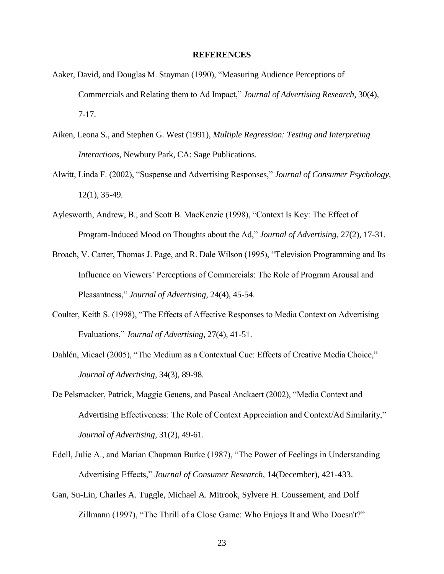#### **REFERENCES**

- Aaker, David, and Douglas M. Stayman (1990), "Measuring Audience Perceptions of Commercials and Relating them to Ad Impact," *Journal of Advertising Research*, 30(4), 7-17.
- Aiken, Leona S., and Stephen G. West (1991), *Multiple Regression: Testing and Interpreting Interactions*, Newbury Park, CA: Sage Publications.
- Alwitt, Linda F. (2002), "Suspense and Advertising Responses," *Journal of Consumer Psychology*, 12(1), 35-49.
- Aylesworth, Andrew, B., and Scott B. MacKenzie (1998), "Context Is Key: The Effect of Program-Induced Mood on Thoughts about the Ad," *Journal of Advertising*, 27(2), 17-31.
- Broach, V. Carter, Thomas J. Page, and R. Dale Wilson (1995), "Television Programming and Its Influence on Viewers" Perceptions of Commercials: The Role of Program Arousal and Pleasantness," *Journal of Advertising*, 24(4), 45-54.
- Coulter, Keith S. (1998), "The Effects of Affective Responses to Media Context on Advertising Evaluations," *Journal of Advertising*, 27(4), 41-51.
- Dahlén, Micael (2005), "The Medium as a Contextual Cue: Effects of Creative Media Choice," *Journal of Advertising*, 34(3), 89-98.
- De Pelsmacker, Patrick, Maggie Geuens, and Pascal Anckaert (2002), "Media Context and Advertising Effectiveness: The Role of Context Appreciation and Context/Ad Similarity," *Journal of Advertising*, 31(2), 49-61.
- Edell, Julie A., and Marian Chapman Burke (1987), "The Power of Feelings in Understanding Advertising Effects," *Journal of Consumer Research*, 14(December), 421-433.
- Gan, Su-Lin, Charles A. Tuggle, Michael A. Mitrook, Sylvere H. Coussement, and Dolf Zillmann (1997), "The Thrill of a Close Game: Who Enjoys It and Who Doesn't?"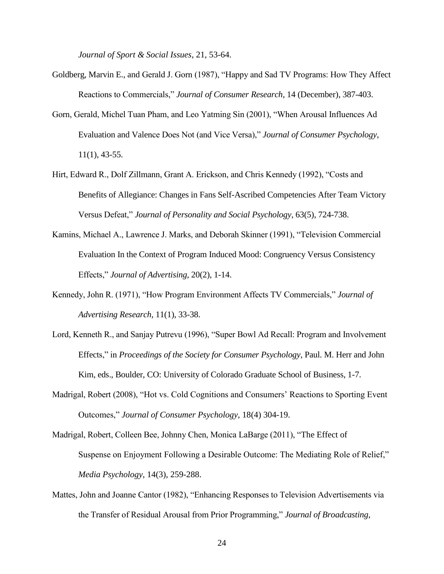*Journal of Sport & Social Issues*, 21, 53-64.

- Goldberg, Marvin E., and Gerald J. Gorn (1987), "Happy and Sad TV Programs: How They Affect Reactions to Commercials," *Journal of Consumer Research*, 14 (December), 387-403.
- Gorn, Gerald, Michel Tuan Pham, and Leo Yatming Sin (2001), "When Arousal Influences Ad Evaluation and Valence Does Not (and Vice Versa)," *Journal of Consumer Psychology*, 11(1), 43-55.
- Hirt, Edward R., Dolf Zillmann, Grant A. Erickson, and Chris Kennedy (1992), "Costs and Benefits of Allegiance: Changes in Fans Self-Ascribed Competencies After Team Victory Versus Defeat," *Journal of Personality and Social Psychology*, 63(5), 724-738.
- Kamins, Michael A., Lawrence J. Marks, and Deborah Skinner (1991), "Television Commercial Evaluation In the Context of Program Induced Mood: Congruency Versus Consistency Effects," *Journal of Advertising*, 20(2), 1-14.
- Kennedy, John R. (1971), "How Program Environment Affects TV Commercials," *Journal of Advertising Research,* 11(1), 33-38.
- Lord, Kenneth R., and Sanjay Putrevu (1996), "Super Bowl Ad Recall: Program and Involvement Effects," in *Proceedings of the Society for Consumer Psychology*, Paul. M. Herr and John Kim, eds., Boulder, CO: University of Colorado Graduate School of Business, 1-7.
- Madrigal, Robert (2008), "Hot vs. Cold Cognitions and Consumers" Reactions to Sporting Event Outcomes," *Journal of Consumer Psychology*, 18(4) 304-19.
- Madrigal, Robert, Colleen Bee, Johnny Chen, Monica LaBarge (2011), "The Effect of Suspense on Enjoyment Following a Desirable Outcome: The Mediating Role of Relief," *Media Psychology*, 14(3), 259-288.
- Mattes, John and Joanne Cantor (1982), "Enhancing Responses to Television Advertisements via the Transfer of Residual Arousal from Prior Programming," *Journal of Broadcasting*,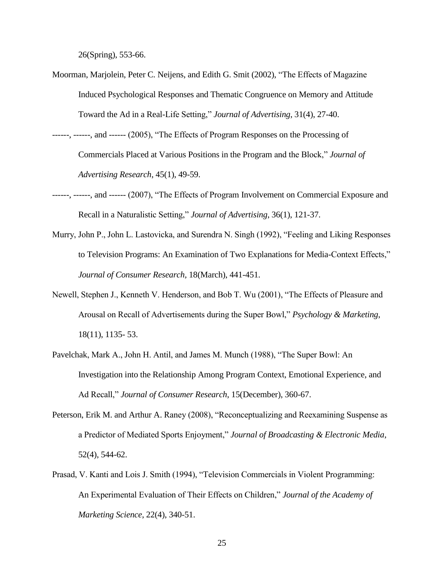26(Spring), 553-66.

- Moorman, Marjolein, Peter C. Neijens, and Edith G. Smit (2002), "The Effects of Magazine Induced Psychological Responses and Thematic Congruence on Memory and Attitude Toward the Ad in a Real-Life Setting," *Journal of Advertising*, 31(4), 27-40.
- ------, ------, and ------ (2005), "The Effects of Program Responses on the Processing of Commercials Placed at Various Positions in the Program and the Block," *Journal of Advertising Research*, 45(1), 49-59.
- ------, ------, and ------ (2007), "The Effects of Program Involvement on Commercial Exposure and Recall in a Naturalistic Setting," *Journal of Advertising*, 36(1), 121-37.
- Murry, John P., John L. Lastovicka, and Surendra N. Singh (1992), "Feeling and Liking Responses to Television Programs: An Examination of Two Explanations for Media-Context Effects," *Journal of Consumer Research,* 18(March), 441-451.
- Newell, Stephen J., Kenneth V. Henderson, and Bob T. Wu (2001), "The Effects of Pleasure and Arousal on Recall of Advertisements during the Super Bowl," *Psychology & Marketing*, 18(11), 1135- 53.
- Pavelchak, Mark A., John H. Antil, and James M. Munch (1988), "The Super Bowl: An Investigation into the Relationship Among Program Context, Emotional Experience, and Ad Recall," *Journal of Consumer Research*, 15(December), 360-67.
- Peterson, Erik M. and Arthur A. Raney (2008), "Reconceptualizing and Reexamining Suspense as a Predictor of Mediated Sports Enjoyment," *Journal of Broadcasting & Electronic Media*, 52(4), 544-62.
- Prasad, V. Kanti and Lois J. Smith (1994), "Television Commercials in Violent Programming: An Experimental Evaluation of Their Effects on Children," *Journal of the Academy of Marketing Science*, 22(4), 340-51.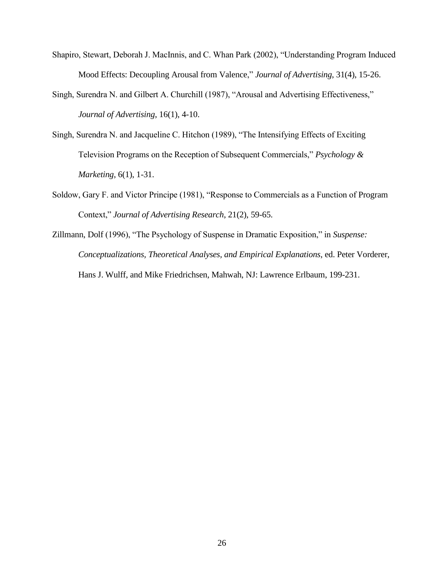- Shapiro, Stewart, Deborah J. MacInnis, and C. Whan Park (2002), "Understanding Program Induced Mood Effects: Decoupling Arousal from Valence," *Journal of Advertising*, 31(4), 15-26.
- Singh, Surendra N. and Gilbert A. Churchill (1987), "Arousal and Advertising Effectiveness," *Journal of Advertising*, 16(1), 4-10.
- Singh, Surendra N. and Jacqueline C. Hitchon (1989), "The Intensifying Effects of Exciting Television Programs on the Reception of Subsequent Commercials," *Psychology & Marketing*, 6(1), 1-31.
- Soldow, Gary F. and Victor Principe (1981), "Response to Commercials as a Function of Program Context," *Journal of Advertising Research*, 21(2), 59-65.
- Zillmann, Dolf (1996), "The Psychology of Suspense in Dramatic Exposition," in *Suspense: Conceptualizations, Theoretical Analyses, and Empirical Explanations*, ed. Peter Vorderer, Hans J. Wulff, and Mike Friedrichsen, Mahwah, NJ: Lawrence Erlbaum, 199-231.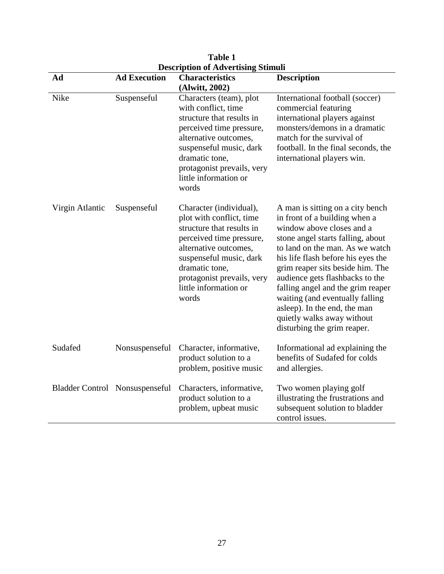| <b>Description of Advertising Stimuli</b> |                     |                                                                                                                                                                                                                                                    |                                                                                                                                                                                                                                                                                                                                                                                                                                                          |
|-------------------------------------------|---------------------|----------------------------------------------------------------------------------------------------------------------------------------------------------------------------------------------------------------------------------------------------|----------------------------------------------------------------------------------------------------------------------------------------------------------------------------------------------------------------------------------------------------------------------------------------------------------------------------------------------------------------------------------------------------------------------------------------------------------|
| Ad                                        | <b>Ad Execution</b> | <b>Characteristics</b><br>(Alwitt, 2002)                                                                                                                                                                                                           | <b>Description</b>                                                                                                                                                                                                                                                                                                                                                                                                                                       |
| Nike                                      | Suspenseful         | Characters (team), plot<br>with conflict, time<br>structure that results in<br>perceived time pressure,<br>alternative outcomes,<br>suspenseful music, dark<br>dramatic tone,<br>protagonist prevails, very<br>little information or<br>words      | International football (soccer)<br>commercial featuring<br>international players against<br>monsters/demons in a dramatic<br>match for the survival of<br>football. In the final seconds, the<br>international players win.                                                                                                                                                                                                                              |
| Virgin Atlantic                           | Suspenseful         | Character (individual),<br>plot with conflict, time<br>structure that results in<br>perceived time pressure,<br>alternative outcomes,<br>suspenseful music, dark<br>dramatic tone,<br>protagonist prevails, very<br>little information or<br>words | A man is sitting on a city bench<br>in front of a building when a<br>window above closes and a<br>stone angel starts falling, about<br>to land on the man. As we watch<br>his life flash before his eyes the<br>grim reaper sits beside him. The<br>audience gets flashbacks to the<br>falling angel and the grim reaper<br>waiting (and eventually falling<br>asleep). In the end, the man<br>quietly walks away without<br>disturbing the grim reaper. |
| Sudafed                                   | Nonsuspenseful      | Character, informative,<br>product solution to a<br>problem, positive music                                                                                                                                                                        | Informational ad explaining the<br>benefits of Sudafed for colds<br>and allergies.                                                                                                                                                                                                                                                                                                                                                                       |
| Bladder Control Nonsuspenseful            |                     | Characters, informative,<br>product solution to a<br>problem, upbeat music                                                                                                                                                                         | Two women playing golf<br>illustrating the frustrations and<br>subsequent solution to bladder<br>control issues.                                                                                                                                                                                                                                                                                                                                         |

**Table 1**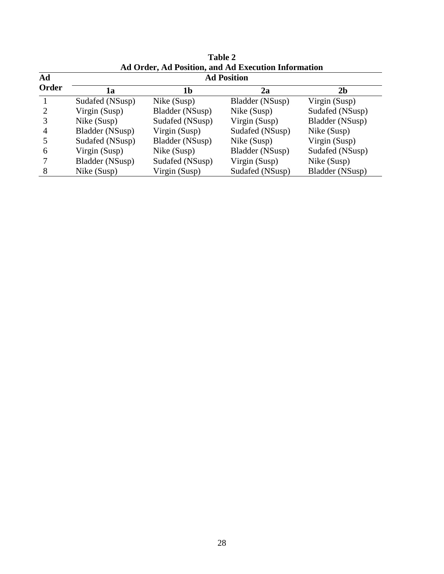|                |                    |                 | Ad Order, Ad Position, and Ad Execution Information |                        |  |  |
|----------------|--------------------|-----------------|-----------------------------------------------------|------------------------|--|--|
| Ad             | <b>Ad Position</b> |                 |                                                     |                        |  |  |
| Order          | 1a                 | 1b              | 2a                                                  | 2 <sub>b</sub>         |  |  |
|                | Sudafed (NSusp)    | Nike (Susp)     | Bladder (NSusp)                                     | Virgin (Susp)          |  |  |
| $\overline{2}$ | Virgin (Susp)      | Bladder (NSusp) | Nike (Susp)                                         | Sudafed (NSusp)        |  |  |
|                | Nike (Susp)        | Sudafed (NSusp) | Virgin (Susp)                                       | <b>Bladder</b> (NSusp) |  |  |
| $\overline{4}$ | Bladder (NSusp)    | Virgin (Susp)   | Sudafed (NSusp)                                     | Nike (Susp)            |  |  |
|                | Sudafed (NSusp)    | Bladder (NSusp) | Nike (Susp)                                         | Virgin (Susp)          |  |  |
| 6              | Virgin (Susp)      | Nike (Susp)     | Bladder (NSusp)                                     | Sudafed (NSusp)        |  |  |
|                | Bladder (NSusp)    | Sudafed (NSusp) | Virgin (Susp)                                       | Nike (Susp)            |  |  |
| 8              | Nike (Susp)        | Virgin (Susp)   | Sudafed (NSusp)                                     | Bladder (NSusp)        |  |  |

**Table 2 Ad Order, Ad Position, and Ad Execution Information**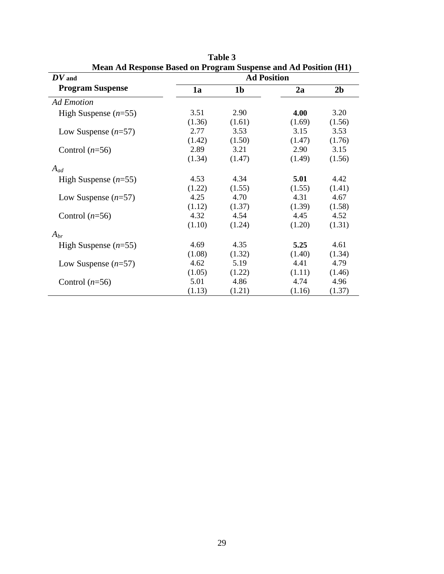| Niean Ad Response Based on Program Suspense and Ad Position (HT) |                    |                |        |                |  |
|------------------------------------------------------------------|--------------------|----------------|--------|----------------|--|
| $\boldsymbol{D} \boldsymbol{V}$ and                              | <b>Ad Position</b> |                |        |                |  |
| <b>Program Suspense</b>                                          | 1a                 | 1 <sub>b</sub> | 2a     | 2 <sub>b</sub> |  |
| <b>Ad Emotion</b>                                                |                    |                |        |                |  |
| High Suspense $(n=55)$                                           | 3.51               | 2.90           | 4.00   | 3.20           |  |
|                                                                  | (1.36)             | (1.61)         | (1.69) | (1.56)         |  |
| Low Suspense $(n=57)$                                            | 2.77               | 3.53           | 3.15   | 3.53           |  |
|                                                                  | (1.42)             | (1.50)         | (1.47) | (1.76)         |  |
| Control $(n=56)$                                                 | 2.89               | 3.21           | 2.90   | 3.15           |  |
|                                                                  | (1.34)             | (1.47)         | (1.49) | (1.56)         |  |
| $A_{ad}$                                                         |                    |                |        |                |  |
| High Suspense $(n=55)$                                           | 4.53               | 4.34           | 5.01   | 4.42           |  |
|                                                                  | (1.22)             | (1.55)         | (1.55) | (1.41)         |  |
| Low Suspense $(n=57)$                                            | 4.25               | 4.70           | 4.31   | 4.67           |  |
|                                                                  | (1.12)             | (1.37)         | (1.39) | (1.58)         |  |
| Control $(n=56)$                                                 | 4.32               | 4.54           | 4.45   | 4.52           |  |
|                                                                  | (1.10)             | (1.24)         | (1.20) | (1.31)         |  |
| $A_{br}$                                                         |                    |                |        |                |  |
| High Suspense $(n=55)$                                           | 4.69               | 4.35           | 5.25   | 4.61           |  |
|                                                                  | (1.08)             | (1.32)         | (1.40) | (1.34)         |  |
| Low Suspense $(n=57)$                                            | 4.62               | 5.19           | 4.41   | 4.79           |  |
|                                                                  | (1.05)             | (1.22)         | (1.11) | (1.46)         |  |
| Control $(n=56)$                                                 | 5.01               | 4.86           | 4.74   | 4.96           |  |
|                                                                  | (1.13)             | (1.21)         | (1.16) | (1.37)         |  |

Table 3 **Mean Ad Response Based on Program Suspense and Ad Position (H1)**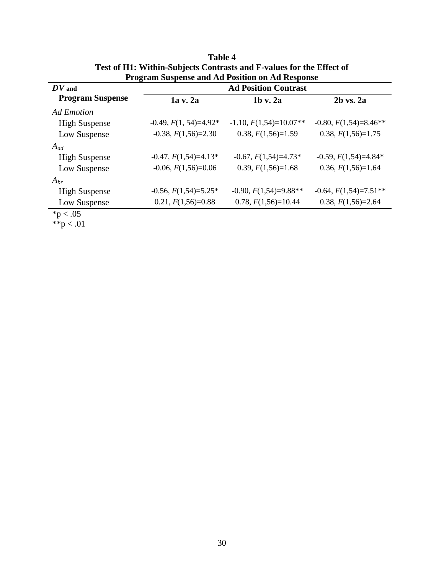|                                     | Trogram buspense and Au I osition on Au Response |                          |                         |  |  |
|-------------------------------------|--------------------------------------------------|--------------------------|-------------------------|--|--|
| $\boldsymbol{D} \boldsymbol{V}$ and | <b>Ad Position Contrast</b>                      |                          |                         |  |  |
| <b>Program Suspense</b>             | 1a v. 2a                                         | $1b$ v. $2a$             | $2b$ vs. $2a$           |  |  |
| <b>Ad Emotion</b>                   |                                                  |                          |                         |  |  |
| <b>High Suspense</b>                | $-0.49, F(1, 54)=4.92*$                          | $-1.10, F(1,54)=10.07**$ | $-0.80, F(1,54)=8.46**$ |  |  |
| Low Suspense                        | $-0.38, F(1,56)=2.30$                            | $0.38, F(1,56)=1.59$     | $0.38, F(1,56)=1.75$    |  |  |
| $A_{ad}$                            |                                                  |                          |                         |  |  |
| <b>High Suspense</b>                | $-0.47, F(1,54)=4.13*$                           | $-0.67, F(1,54)=4.73*$   | $-0.59, F(1,54)=4.84*$  |  |  |
| Low Suspense                        | $-0.06, F(1,56)=0.06$                            | $0.39, F(1,56)=1.68$     | $0.36, F(1,56)=1.64$    |  |  |
| $A_{br}$                            |                                                  |                          |                         |  |  |
| <b>High Suspense</b>                | $-0.56, F(1,54)=5.25*$                           | $-0.90, F(1,54)=9.88**$  | $-0.64, F(1,54)=7.51**$ |  |  |
| Low Suspense                        | $0.21, F(1,56)=0.88$                             | $0.78, F(1,56)=10.44$    | $0.38, F(1,56)=2.64$    |  |  |
| $*n < 05$                           |                                                  |                          |                         |  |  |

**Table 4 Test of H1: Within-Subjects Contrasts and F-values for the Effect of Program Suspense and Ad Position on Ad Response**

 $*{\rm p} < .05$ 

\*\*p  $< .01$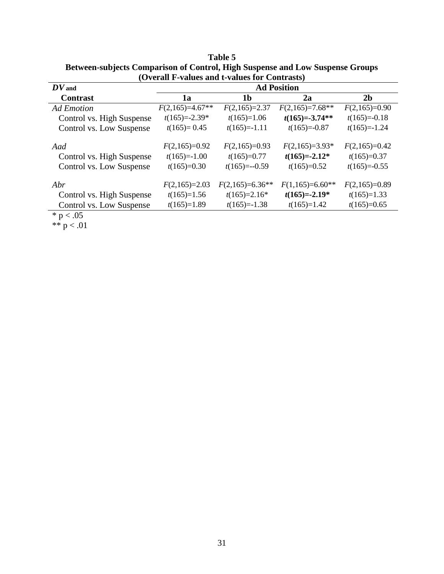| $\sqrt{2}$ , crain 1 $\sqrt{2}$ and $\omega$ and $\omega$ and $\omega$ for $\sqrt{2}$ contracts $\sqrt{2}$ |                    |                   |                   |                 |  |
|------------------------------------------------------------------------------------------------------------|--------------------|-------------------|-------------------|-----------------|--|
| $\boldsymbol{D}\boldsymbol{V}$ and                                                                         | <b>Ad Position</b> |                   |                   |                 |  |
| <b>Contrast</b>                                                                                            | 1a                 | 1b                | 2a                | 2 <sub>b</sub>  |  |
| Ad Emotion                                                                                                 | $F(2,165)=4.67**$  | $F(2,165)=2.37$   | $F(2,165)=7.68**$ | $F(2,165)=0.90$ |  |
| Control vs. High Suspense                                                                                  | $t(165)=-2.39*$    | $t(165)=1.06$     | $t(165)=-3.74**$  | $t(165)=0.18$   |  |
| Control vs. Low Suspense                                                                                   | $t(165)=0.45$      | $t(165)=-1.11$    | $t(165)=0.87$     | $t(165)=-1.24$  |  |
| Aad                                                                                                        | $F(2,165)=0.92$    | $F(2,165)=0.93$   | $F(2,165)=3.93*$  | $F(2,165)=0.42$ |  |
| Control vs. High Suspense                                                                                  | $t(165)=1.00$      | $t(165)=0.77$     | $t(165)=-2.12*$   | $t(165)=0.37$   |  |
| Control vs. Low Suspense                                                                                   | $t(165)=0.30$      | $t(165)=-0.59$    | $t(165)=0.52$     | $t(165)=0.55$   |  |
| Abr                                                                                                        | $F(2,165)=2.03$    | $F(2,165)=6.36**$ | $F(1,165)=6.60**$ | $F(2,165)=0.89$ |  |
| Control vs. High Suspense                                                                                  | $t(165)=1.56$      | $t(165)=2.16*$    | $t(165)=-2.19*$   | $t(165)=1.33$   |  |
| Control vs. Low Suspense                                                                                   | $t(165)=1.89$      | $t(165)=-1.38$    | $t(165)=1.42$     | $t(165)=0.65$   |  |
| * $p < .05$                                                                                                |                    |                   |                   |                 |  |

**Table 5 Between-subjects Comparison of Control, High Suspense and Low Suspense Groups (Overall F-values and t-values for Contrasts)**

\*\*  $p < .01$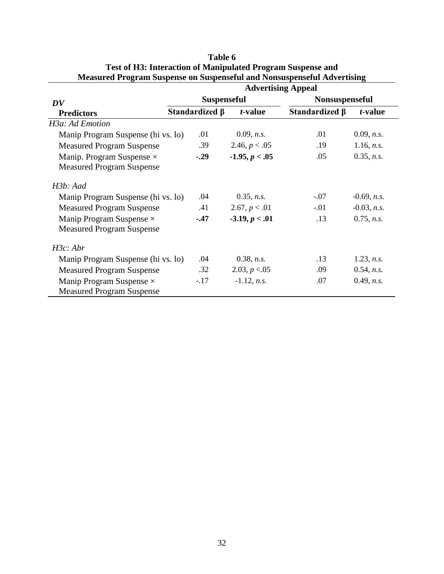|                                                                      | <b>Advertising Appeal</b> |                  |                       |                       |  |
|----------------------------------------------------------------------|---------------------------|------------------|-----------------------|-----------------------|--|
| DV                                                                   | <b>Suspenseful</b>        |                  | <b>Nonsuspenseful</b> |                       |  |
| <b>Predictors</b>                                                    | Standardized β            | t-value          | Standardized $\beta$  | t-value               |  |
| H3a: Ad Emotion                                                      |                           |                  |                       |                       |  |
| Manip Program Suspense (hi vs. lo)                                   | .01                       | 0.09, n.s.       | .01                   | 0.09, n.s.            |  |
| <b>Measured Program Suspense</b>                                     | .39                       | 2.46, $p < .05$  | .19                   | 1.16, n.s.            |  |
| Manip. Program Suspense $\times$<br><b>Measured Program Suspense</b> | $-.29$                    | $-1.95, p < .05$ | .05                   | 0.35, n.s.            |  |
| H3b: Aad                                                             |                           |                  |                       |                       |  |
| Manip Program Suspense (hi vs. lo)                                   | .04                       | 0.35, n.s.       | $-.07$                | $-0.69$ , <i>n.s.</i> |  |
| <b>Measured Program Suspense</b>                                     | .41                       | 2.67, p < .01    | $-.01$                | $-0.03$ , n.s.        |  |
| Manip Program Suspense $\times$<br><b>Measured Program Suspense</b>  | $-.47$                    | $-3.19, p < .01$ | .13                   | $0.75$ , n.s.         |  |
| H3c: Abr                                                             |                           |                  |                       |                       |  |
| Manip Program Suspense (hi vs. lo)                                   | .04                       | 0.38, n.s.       | .13                   | 1.23, n.s.            |  |
| <b>Measured Program Suspense</b>                                     | .32                       | 2.03, $p < 0.05$ | .09                   | 0.54, n.s.            |  |
| Manip Program Suspense $\times$<br><b>Measured Program Suspense</b>  | $-.17$                    | $-1.12$ , n.s.   | .07                   | 0.49, n.s.            |  |

# **Table 6 Test of H3: Interaction of Manipulated Program Suspense and Measured Program Suspense on Suspenseful and Nonsuspenseful Advertising**